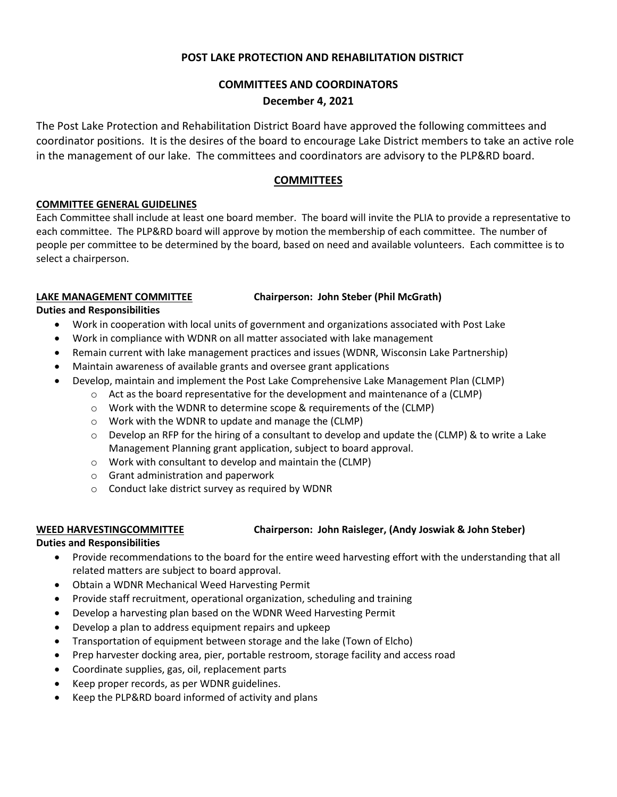# **POST LAKE PROTECTION AND REHABILITATION DISTRICT**

# **COMMITTEES AND COORDINATORS**

### **December 4, 2021**

The Post Lake Protection and Rehabilitation District Board have approved the following committees and coordinator positions. It is the desires of the board to encourage Lake District members to take an active role in the management of our lake. The committees and coordinators are advisory to the PLP&RD board.

### **COMMITTEES**

### **COMMITTEE GENERAL GUIDELINES**

Each Committee shall include at least one board member. The board will invite the PLIA to provide a representative to each committee. The PLP&RD board will approve by motion the membership of each committee. The number of people per committee to be determined by the board, based on need and available volunteers. Each committee is to select a chairperson.

### **LAKE MANAGEMENT COMMITTEE Chairperson: John Steber (Phil McGrath)**

**Duties and Responsibilities**

- Work in cooperation with local units of government and organizations associated with Post Lake
- Work in compliance with WDNR on all matter associated with lake management
- Remain current with lake management practices and issues (WDNR, Wisconsin Lake Partnership)
- Maintain awareness of available grants and oversee grant applications
	- Develop, maintain and implement the Post Lake Comprehensive Lake Management Plan (CLMP)
		- $\circ$  Act as the board representative for the development and maintenance of a (CLMP)
		- o Work with the WDNR to determine scope & requirements of the (CLMP)
		- o Work with the WDNR to update and manage the (CLMP)
		- $\circ$  Develop an RFP for the hiring of a consultant to develop and update the (CLMP) & to write a Lake Management Planning grant application, subject to board approval.
		- o Work with consultant to develop and maintain the (CLMP)
		- o Grant administration and paperwork
		- o Conduct lake district survey as required by WDNR

# **WEED HARVESTINGCOMMITTEE Chairperson: John Raisleger, (Andy Joswiak & John Steber)**

# **Duties and Responsibilities**

- Provide recommendations to the board for the entire weed harvesting effort with the understanding that all related matters are subject to board approval.
- Obtain a WDNR Mechanical Weed Harvesting Permit
- Provide staff recruitment, operational organization, scheduling and training
- Develop a harvesting plan based on the WDNR Weed Harvesting Permit
- Develop a plan to address equipment repairs and upkeep
- Transportation of equipment between storage and the lake (Town of Elcho)
- Prep harvester docking area, pier, portable restroom, storage facility and access road
- Coordinate supplies, gas, oil, replacement parts
- Keep proper records, as per WDNR guidelines.
- Keep the PLP&RD board informed of activity and plans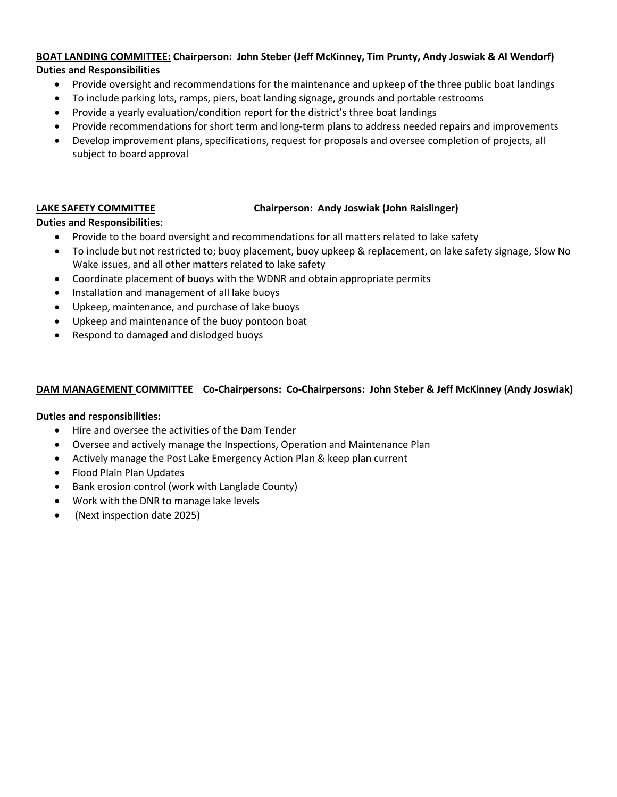### **BOAT LANDING COMMITTEE: Chairperson: John Steber (Jeff McKinney, Tim Prunty, Andy Joswiak & Al Wendorf) Duties and Responsibilities**

- Provide oversight and recommendations for the maintenance and upkeep of the three public boat landings
- To include parking lots, ramps, piers, boat landing signage, grounds and portable restrooms
- Provide a yearly evaluation/condition report for the district's three boat landings
- Provide recommendations for short term and long-term plans to address needed repairs and improvements
- Develop improvement plans, specifications, request for proposals and oversee completion of projects, all subject to board approval

### **LAKE SAFETY COMMITTEE Chairperson: Andy Joswiak (John Raislinger)**

### **Duties and Responsibilities**:

- Provide to the board oversight and recommendations for all matters related to lake safety
- To include but not restricted to; buoy placement, buoy upkeep & replacement, on lake safety signage, Slow No Wake issues, and all other matters related to lake safety
- Coordinate placement of buoys with the WDNR and obtain appropriate permits
- Installation and management of all lake buoys
- Upkeep, maintenance, and purchase of lake buoys
- Upkeep and maintenance of the buoy pontoon boat
- Respond to damaged and dislodged buoys

### **DAM MANAGEMENT COMMITTEE Co-Chairpersons: Co-Chairpersons: John Steber & Jeff McKinney (Andy Joswiak)**

### **Duties and responsibilities:**

- Hire and oversee the activities of the Dam Tender
- Oversee and actively manage the Inspections, Operation and Maintenance Plan
- Actively manage the Post Lake Emergency Action Plan & keep plan current
- Flood Plain Plan Updates
- Bank erosion control (work with Langlade County)
- Work with the DNR to manage lake levels
- (Next inspection date 2025)